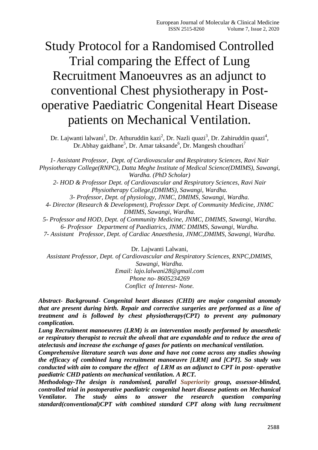# Study Protocol for a Randomised Controlled Trial comparing the Effect of Lung Recruitment Manoeuvres as an adjunct to conventional Chest physiotherapy in Postoperative Paediatric Congenital Heart Disease patients on Mechanical Ventilation.

Dr. Lajwanti lalwani<sup>1</sup>, Dr. Athuruddin kazi<sup>2</sup>, Dr. Nazli quazi<sup>3</sup>, Dr. Zahiruddin quazi<sup>4</sup>, Dr.Abhay gaidhane<sup>5</sup>, Dr. Amar taksande<sup>6</sup>, Dr. Mangesh choudhari<sup>7</sup>

*1- Assistant Professor, Dept. of Cardiovascular and Respiratory Sciences, Ravi Nair Physiotherapy College(RNPC), Datta Meghe Institute of Medical Science(DMIMS), Sawangi, Wardha. (PhD Scholar) 2- HOD & Professor Dept. of Cardiovascular and Respiratory Sciences, Ravi Nair* 

*Physiotherapy College,(DMIMS), Sawangi, Wardha.*

*3- Professor, Dept. of physiology, JNMC, DMIMS, Sawangi, Wardha. 4- Director (Research & Development), Professor Dept. of Community Medicine, JNMC DMIMS, Sawangi, Wardha.*

*5- Professor and HOD, Dept. of Community Medicine, JNMC, DMIMS, Sawangi, Wardha. 6- Professor Department of Paediatrics, JNMC DMIMS, Sawangi, Wardha.*

*7- Assistant Professor, Dept. of Cardiac Anaesthesia, JNMC,DMIMS, Sawangi, Wardha.*

Dr. Lajwanti Lalwani,

*Assistant Professor, Dept. of Cardiovascular and Respiratory Sciences, RNPC,DMIMS, Sawangi, Wardha. Email: lajo.lalwani28@gmail.com Phone no- 8605234269 Conflict of Interest- None.*

*Abstract- Background- Congenital heart diseases (CHD) are major congenital anomaly that are present during birth. Repair and corrective surgeries are performed as a line of treatment and is followed by chest physiotherapy(CPT) to prevent any pulmonary complication.*

*Lung Recruitment manoeuvres (LRM) is an intervention mostly performed by anaesthetic or respiratory therapist to recruit the alveoli that are expandable and to reduce the area of atelectasis and increase the exchange of gases for patients on mechanical ventilation.*

*Comprehensive literature search was done and have not come across any studies showing the efficacy of combined lung recruitment manoeuvre [LRM] and [CPT]. So study was conducted with aim to compare the effect of LRM as an adjunct to CPT in post- operative paediatric CHD patients on mechanical ventilation. A RCT.*

*Methodology-The design is randomised, parallel Superiority group, assessor-blinded, controlled trial in postoperative paediatric congenital heart disease patients on Mechanical Ventilator. The study aims to answer the research question comparing standard(conventional)CPT with combined standard CPT along with lung recruitment*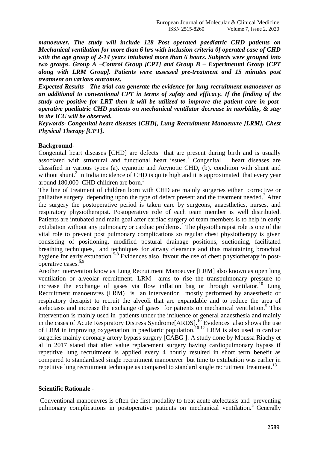*manoeuver. The study will include 128 Post operated paediatric CHD patients on Mechanical ventilation for more than 6 hrs with inclusion criteria 0f operated case of CHD with the age group of 2-14 years intubated more than 6 hours. Subjects were grouped into two groups. Group A –Control Group [CPT] and Group B – Experimental Group [CPT along with LRM Group]. Patients were assessed pre-treatment and 15 minutes post treatment on various outcomes.*

*Expected Results - The trial can generate the evidence for lung recruitment manoeuver as an additional to conventional CPT in terms of safety and efficacy. If the finding of the study are positive for LRT then it will be utilized to improve the patient care in postoperative paediatric CHD patients on mechanical ventilator decrease in morbidity, & stay in the ICU will be observed.*

*Keywords- Congenital heart diseases [CHD], Lung Recruitment Manoeuvre [LRM], Chest Physical Therapy [CPT].*

### **Background**-

Congenital heart diseases [CHD] are defects that are present during birth and is usually associated with structural and functional heart issues.<sup>1</sup> Congenital heart diseases are classified in various types (a). cyanotic and Acynotic CHD, (b). condition with shunt and without shunt. $^{2}$  In India incidence of CHD is quite high and it is approximated that every year around 180,000 CHD children are born. 3

The line of treatment of children born with CHD are mainly surgeries either corrective or palliative surgery depending upon the type of defect present and the treatment needed.<sup>2</sup> After the surgery the postoperative period is taken care by surgeons, anaesthetics, nurses, and respiratory physiotherapist. Postoperative role of each team member is well distributed. Patients are intubated and main goal after cardiac surgery of team members is to help in early extubation without any pulmonary or cardiac problems.<sup>4</sup> The physiotherapist role is one of the vital role to prevent post pulmonary complications so regular chest physiotherapy is given consisting of positioning, modified postural drainage positions, suctioning, facilitated breathing techniques, and techniques for airway clearance and thus maintaining bronchial hygiene for early extubation.<sup>5-8</sup> Evidences also favour the use of chest physiotherapy in postoperative cases.<sup>5,9</sup>

Another intervention know as Lung Recruitment Manoeuver [LRM] also known as open lung ventilation or alveolar recruitment. LRM aims to rise the transpulmonary pressure to increase the exchange of gases via flow inflation bag or through ventilator.<sup>10</sup> Lung Recruitment manoeuvres (LRM) is an intervention mostly performed by anaesthetic or respiratory therapist to recruit the alveoli that are expandable and to reduce the area of atelectasis and increase the exchange of gases for patients on mechanical ventilation.<sup>5</sup> This intervention is mainly used in patients under the influence of general anaesthesia and mainly in the cases of Acute Respiratory Distress Syndrome[ARDS].<sup>10</sup> Evidences also shows the use of LRM in improving oxygenation in paediatric population.<sup>10-12</sup> LRM is also used in cardiac surgeries mainly coronary artery bypass surgery [CABG ]. A study done by Moussa Riachy et al in 2017 stated that after value replacement surgery having cardiopulmonary bypass if repetitive lung recruitment is applied every 4 hourly resulted in short term benefit as compared to standardised single recruitment manoeuver but time to extubation was earlier in repetitive lung recruitment technique as compared to standard single recruitment treatment.<sup>13</sup>

#### **Scientific Rationale -**

Conventional manoeuvres is often the first modality to treat acute atelectasis and preventing pulmonary complications in postoperative patients on mechanical ventilation.<sup>5</sup> Generally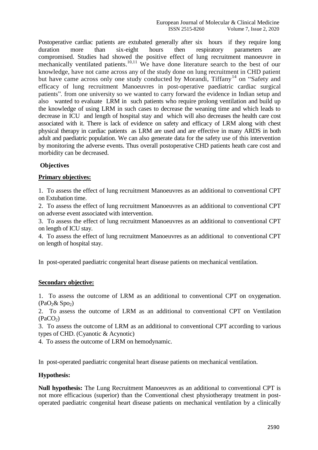Postoperative cardiac patients are extubated generally after six hours if they require long duration more than six-eight hours then respiratory parameters are compromised. Studies had showed the positive effect of lung recruitment manoeuvre in mechanically ventilated patients.<sup>10,11</sup> We have done literature search to the best of our knowledge, have not came across any of the study done on lung recruitment in CHD patient but have came across only one study conducted by Morandi, Tiffany<sup>14</sup> on "Safety and efficacy of lung recruitment Manoeuvres in post-operative paediatric cardiac surgical patients". from one university so we wanted to carry forward the evidence in Indian setup and also wanted to evaluate LRM in such patients who require prolong ventilation and build up the knowledge of using LRM in such cases to decrease the weaning time and which leads to decrease in ICU and length of hospital stay and which will also decreases the health care cost associated with it. There is lack of evidence on safety and efficacy of LRM along with chest physical therapy in cardiac patients as LRM are used and are effective in many ARDS in both adult and paediatric population. We can also generate data for the safety use of this intervention by monitoring the adverse events. Thus overall postoperative CHD patients heath care cost and morbidity can be decreased.

### **Objectives**

### **Primary objectives:**

1. To assess the effect of lung recruitment Manoeuvres as an additional to conventional CPT on Extubation time.

2. To assess the effect of lung recruitment Manoeuvres as an additional to conventional CPT on adverse event associated with intervention.

3. To assess the effect of lung recruitment Manoeuvres as an additional to conventional CPT on length of ICU stay.

4. To assess the effect of lung recruitment Manoeuvres as an additional to conventional CPT on length of hospital stay.

In post-operated paediatric congenital heart disease patients on mechanical ventilation.

#### **Secondary objective:**

1. To assess the outcome of LRM as an additional to conventional CPT on oxygenation.  $(PaO<sub>2</sub>&SpO<sub>2</sub>)$ 

2. To assess the outcome of LRM as an additional to conventional CPT on Ventilation  $(PaCO<sub>2</sub>)$ 

3. To assess the outcome of LRM as an additional to conventional CPT according to various types of CHD. (Cyanotic & Acynotic)

4. To assess the outcome of LRM on hemodynamic.

In post-operated paediatric congenital heart disease patients on mechanical ventilation.

#### **Hypothesis:**

**Null hypothesis:** The Lung Recruitment Manoeuvres as an additional to conventional CPT is not more efficacious (superior) than the Conventional chest physiotherapy treatment in postoperated paediatric congenital heart disease patients on mechanical ventilation by a clinically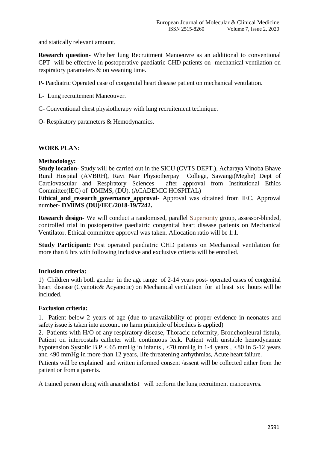and statically relevant amount.

**Research question-** Whether lung Recruitment Manoeuvre as an additional to conventional CPT will be effective in postoperative paediatric CHD patients on mechanical ventilation on respiratory parameters & on weaning time.

P- Paediatric Operated case of congenital heart disease patient on mechanical ventilation.

- L- Lung recruitement Maneouver.
- C- Conventional chest physiotherapy with lung recruitement technique.
- O- Respiratory parameters & Hemodynamics.

#### **WORK PLAN:**

#### **Methodology:**

**Study location**- Study will be carried out in the SICU (CVTS DEPT.), Acharaya Vinoba Bhave Rural Hospital (AVBRH), Ravi Nair Physiotherpay College, Sawangi(Meghe) Dept of Cardiovascular and Respiratory Sciences Committee(IEC) of DMIMS, (DU). (ACADEMIC HOSPITAL)

**Ethical and research governance approval**- Approval was obtained from IEC. Approval number- **DMIMS (DU)/IEC/2018-19/7242.**

**Research design**- We will conduct a randomised, parallel Superiority group, assessor-blinded, controlled trial in postoperative paediatric congenital heart disease patients on Mechanical Ventilator. Ethical committee approval was taken. Allocation ratio will be 1:1.

**Study Participant:** Post operated paediatric CHD patients on Mechanical ventilation for more than 6 hrs with following inclusive and exclusive criteria will be enrolled.

#### **Inclusion criteria:**

1) Children with both gender in the age range of 2-14 years post- operated cases of congenital heart disease (Cyanotic& Acyanotic) on Mechanical ventilation for at least six hours will be included.

#### **Exclusion criteria:**

1. Patient below 2 years of age (due to unavailability of proper evidence in neonates and safety issue is taken into account. no harm principle of bioethics is applied)

2. Patients with H/O of any respiratory disease, Thoracic deformity, Bronchopleural fistula, Patient on intercostals catheter with continuous leak. Patient with unstable hemodynamic hypotension Systolic B.P < 65 mmHg in infants , <70 mmHg in 1-4 years , <80 in 5-12 years and <90 mmHg in more than 12 years, life threatening arrhythmias, Acute heart failure.

Patients will be explained and written informed consent /assent will be collected either from the patient or from a parents.

A trained person along with anaesthetist will perform the lung recruitment manoeuvres.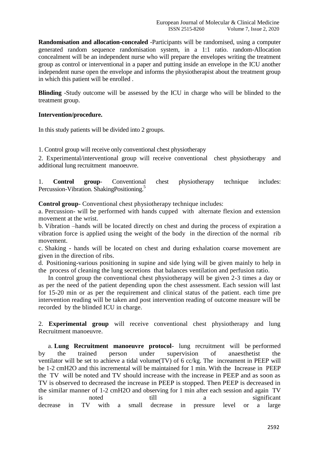**Randomisation and allocation-concealed** -Participants will be randomised, using a computer generated random sequence randomisation system, in a 1:1 ratio. random-Allocation concealment will be an independent nurse who will prepare the envelopes writing the treatment group as control or interventional in a paper and putting inside an envelope in the ICU another independent nurse open the envelope and informs the physiotherapist about the treatment group in which this patient will be enrolled .

**Blinding** -Study outcome will be assessed by the ICU in charge who will be blinded to the treatment group.

### **Intervention/procedure.**

In this study patients will be divided into 2 groups.

1. Control group will receive only conventional chest physiotherapy

2. Experimental/interventional group will receive conventional chest physiotherapy and additional lung recruitment manoeuvre.

1. **Control group**- Conventional chest physiotherapy technique includes: Percussion-Vibration. ShakingPositioning.<sup>5</sup>

**Control group**- Conventional chest physiotherapy technique includes:

a. Percussion- will be performed with hands cupped with alternate flexion and extension movement at the wrist.

b. Vibration –hands will be located directly on chest and during the process of expiration a vibration force is applied using the weight of the body in the direction of the normal rib movement.

c. Shaking - hands will be located on chest and during exhalation coarse movement are given in the direction of ribs.

d. Positioning-various positioning in supine and side lying will be given mainly to help in the process of cleaning the lung secretions that balances ventilation and perfusion ratio.

In control group the conventional chest physiotherapy will be given 2-3 times a day or as per the need of the patient depending upon the chest assessment. Each session will last for 15-20 min or as per the requirement and clinical status of the patient. each time pre intervention reading will be taken and post intervention reading of outcome measure will be recorded by the blinded ICU in charge.

2. **Experimental group** will receive conventional chest physiotherapy and lung Recruitment manoeuvre.

a. **Lung Recruitment manoeuvre protocol**- lung recruitment will be performed by the trained person under supervision of anaesthetist the ventilator will be set to achieve a tidal volume(TV) of 6 cc/kg. The increament in PEEP will be 1-2 cmH2O and this incremental will be maintained for 1 min. With the Increase in PEEP the TV will be noted and TV should increase with the increase in PEEP and as soon as TV is observed to decreased the increase in PEEP is stopped. Then PEEP is decreased in the similar manner of 1-2 cmH2O and observing for 1 min after each session and again TV is noted till a significant decrease in TV with a small decrease in pressure level or a large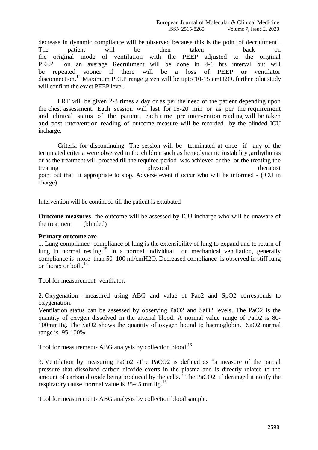decrease in dynamic compliance will be observed because this is the point of decruitment . The patient will be then taken back on the original mode of ventilation with the PEEP adjusted to the original PEEP on an average Recruitment will be done in 4-6 hrs interval but will be repeated sooner if there will be a loss of PEEP or ventilator disconnection.<sup>14</sup> Maximum PEEP range given will be upto 10-15 cmH2O. further pilot study will confirm the exact PEEP level.

LRT will be given 2-3 times a day or as per the need of the patient depending upon the chest assessment. Each session will last for 15-20 min or as per the requirement and clinical status of the patient. each time pre intervention reading will be taken and post intervention reading of outcome measure will be recorded by the blinded ICU incharge.

Criteria for discontinuing -The session will be terminated at once if any of the terminated criteria were observed in the children such as hemodynamic instability ,arrhythmias or as the treatment will proceed till the required period was achieved or the or the treating the treating therapist physical therapist point out that it appropriate to stop. Adverse event if occur who will be informed - (ICU in charge)

Intervention will be continued till the patient is extubated

**Outcome measures-** the outcome will be assessed by ICU incharge who will be unaware of the treatment (blinded)

#### **Primary outcome are**

1. Lung compliance- compliance of lung is the extensibility of lung to expand and to return of lung in normal resting.<sup>15</sup> In a normal individual on mechanical ventilation, generally compliance is more than 50–100 ml/cmH2O. Decreased compliance is observed in stiff lung or thorax or both. 15

Tool for measurement- ventilator.

2. Oxygenation –measured using ABG and value of Pao2 and SpO2 corresponds to oxygenation.

Ventilation status can be assessed by observing PaO2 and SaO2 levels. The PaO2 is the quantity of oxygen dissolved in the arterial blood. A normal value range of PaO2 is 80- 100mmHg. The SaO2 shows the quantity of oxygen bound to haemoglobin. SaO2 normal range is 95-100%.

Tool for measurement- ABG analysis by collection blood.<sup>16</sup>

3. Ventilation by measuring PaCo2 -The PaCO2 is defined as "a measure of the partial pressure that dissolved carbon dioxide exerts in the plasma and is directly related to the amount of carbon dioxide being produced by the cells." The PaCO2 if deranged it notify the respiratory cause. normal value is  $35-45$  mmHg.<sup>16</sup>

Tool for measurement- ABG analysis by collection blood sample.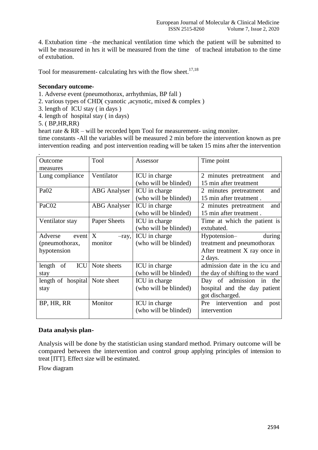4. Extubation time –the mechanical ventilation time which the patient will be submitted to will be measured in hrs it will be measured from the time of tracheal intubation to the time of extubation.

Tool for measurement- calculating hrs with the flow sheet.<sup>17,18</sup>

#### **Secondary outcome-**

- 1. Adverse event (pneumothorax, arrhythmias, BP fall )
- 2. various types of CHD( cyanotic ,acynotic, mixed & complex )
- 3. length of ICU stay ( in days )
- 4. length of hospital stay ( in days)
- 5. ( BP,HR,RR)

heart rate & RR – will be recorded bpm Tool for measurement- using moniter.

time constants -All the variables will be measured 2 min before the intervention known as pre intervention reading and post intervention reading will be taken 15 mins after the intervention

| Outcome                       | Tool                | Assessor              | Time point                      |
|-------------------------------|---------------------|-----------------------|---------------------------------|
| measures                      |                     |                       |                                 |
| Lung compliance               | Ventilator          | ICU in charge         | and<br>2 minutes pretreatment   |
|                               |                     | (who will be blinded) | 15 min after treatment          |
| Pa <sub>02</sub>              | <b>ABG</b> Analyser | ICU in charge         | and<br>2 minutes pretreatment   |
|                               |                     | (who will be blinded) | 15 min after treatment.         |
| PaC02                         | <b>ABG</b> Analyser | ICU in charge         | and<br>2 minutes pretreatment   |
|                               |                     | (who will be blinded) | 15 min after treatment.         |
| Ventilator stay               | Paper Sheets        | ICU in charge         | Time at which the patient is    |
|                               |                     | (who will be blinded) | extubated.                      |
| Adverse<br>event              | X<br>$-ray,$        | ICU in charge         | Hypotension-<br>during          |
| (pneumothorax,                | monitor             | (who will be blinded) | treatment and pneumothorax      |
| hypotension                   |                     |                       | After treatment X ray once in   |
|                               |                     |                       | 2 days.                         |
| ICU<br>length<br>of           | Note sheets         | ICU in charge         | admission date in the icu and   |
| stay                          |                     | (who will be blinded) | the day of shifting to the ward |
| length of hospital Note sheet |                     | ICU in charge         | Day of admission in<br>the      |
| stay                          |                     | (who will be blinded) | hospital and the day patient    |
|                               |                     |                       | got discharged.                 |
| BP, HR, RR                    | Monitor             | ICU in charge         | Pre intervention<br>and<br>post |
|                               |                     | (who will be blinded) | intervention                    |
|                               |                     |                       |                                 |

## **Data analysis plan-**

Analysis will be done by the statistician using standard method. Primary outcome will be compared between the intervention and control group applying principles of intension to treat [ITT]. Effect size will be estimated.

Flow diagram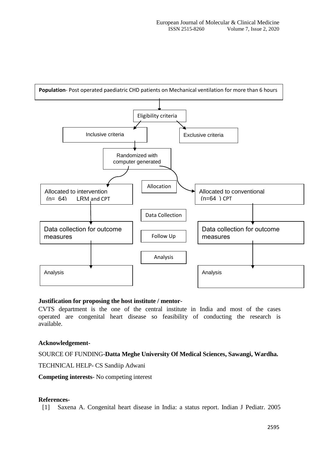

#### **Justification for proposing the host institute / mentor**-

CVTS department is the one of the central institute in India and most of the cases operated are congenital heart disease so feasibility of conducting the research is available.

#### **Acknowledgement-**

## SOURCE OF FUNDING-**Datta Meghe University Of Medical Sciences, Sawangi, Wardha.**

TECHNICAL HELP- CS Sandiip Adwani

**Competing interests**- No competing interest

#### **References-**

[1] Saxena A. Congenital heart disease in India: a status report. Indian J Pediatr. 2005